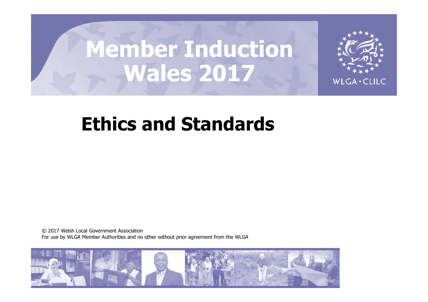# Member Induction Wales 2017



## Ethics and Standards

© 2017 Welsh Local Government Association For use by WLGA Member Authorities and no other without prior agreement from the WLGA

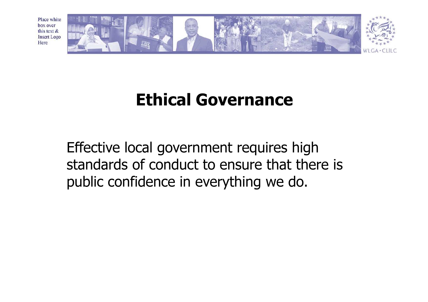

## Ethical Governance

Effective local government requires high standards of conduct to ensure that there is public confidence in everything we do.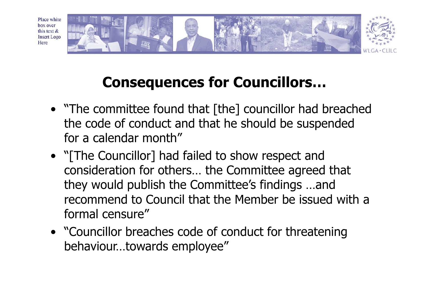

## Consequences for Councillors…

- "The committee found that [the] councillor had breached the code of conduct and that he should be suspended for a calendar month"
- "[The Councillor] had failed to show respect and consideration for others… the Committee agreed that they would publish the Committee's findings …and recommend to Council that the Member be issued with a formal censure"
- "Councillor breaches code of conduct for threatening behaviour…towards employee"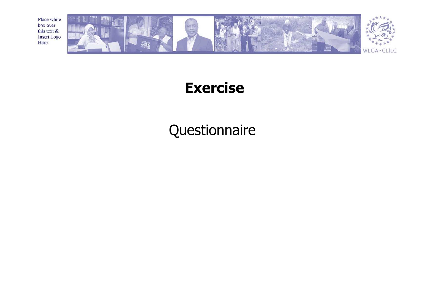

#### Exercise

Questionnaire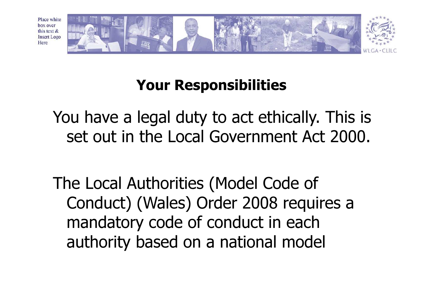

#### Your Responsibilities

You have a legal duty to act ethically. This is set out in the Local Government Act 2000.

The Local Authorities (Model Code of Conduct) (Wales) Order 2008 requires a mandatory code of conduct in each authority based on a national model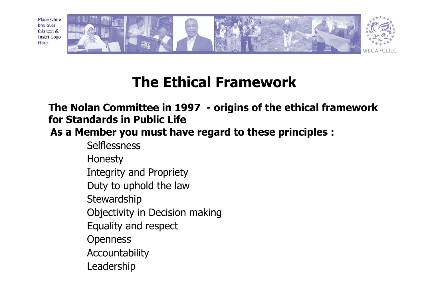

#### The Ethical Framework

#### The Nolan Committee in 1997 - origins of the ethical framework for Standards in Public Life

As a Member you must have regard to these principles :

**Selflessness** 

Honesty

Integrity and Propriety

Duty to uphold the law

**Stewardship** 

Objectivity in Decision making

Equality and respect

**Openness** 

Accountability

Leadership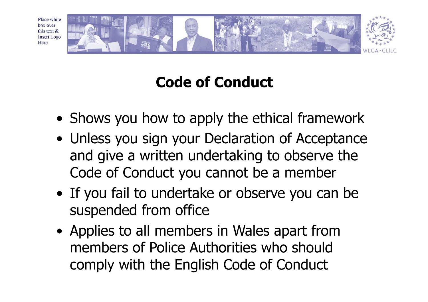

## Code of Conduct

- Shows you how to apply the ethical framework
- Unless you sign your Declaration of Acceptance and give a written undertaking to observe the Code of Conduct you cannot be a member
- If you fail to undertake or observe you can be suspended from office
- Applies to all members in Wales apart from members of Police Authorities who should comply with the English Code of Conduct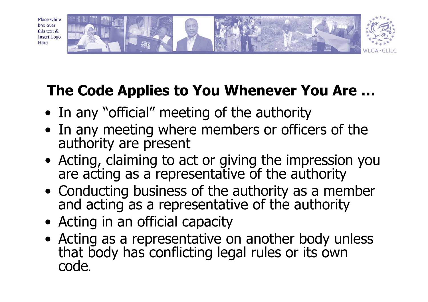

## The Code Applies to You Whenever You Are …

- In any "official" meeting of the authority
- In any meeting where members or officers of the authority are present
- Acting, claiming to act or giving the impression you are acting as a representative of the authority
- Conducting business of the authority as a member<br>and acting as a representative of the authority
- Acting in an official capacity
- Acting as a representative on another body unless that body has conflicting legal rules or its own code.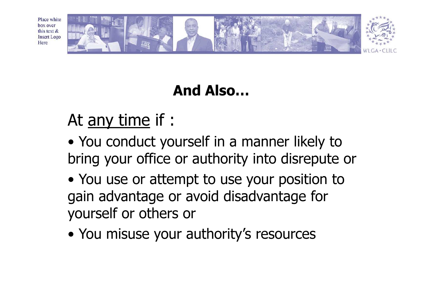

## And Also…

## At <u>any time</u> if :

- You conduct yourself in a manner likely to bring your office or authority into disrepute or
- You use or attempt to use your position to gain advantage or avoid disadvantage for yourself or others or
- You misuse your authority's resources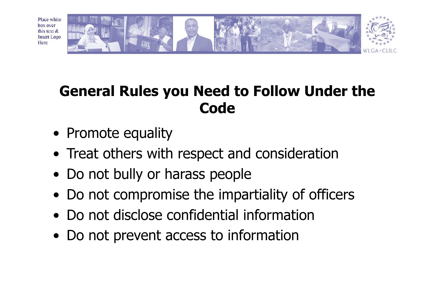

#### General Rules you Need to Follow Under the **Code**

- Promote equality
- Treat others with respect and consideration
- Do not bully or harass people
- Do not compromise the impartiality of officers
- Do not disclose confidential information
- Do not prevent access to information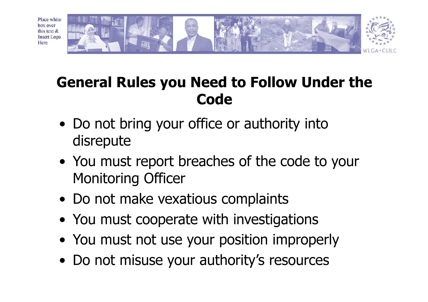

### General Rules you Need to Follow Under the **Code**

- Do not bring your office or authority into disrepute
- You must report breaches of the code to your Monitoring Officer
- Do not make vexatious complaints
- You must cooperate with investigations
- You must not use your position improperly
- Do not misuse your authority's resources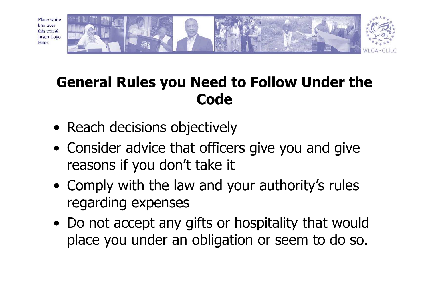

#### General Rules you Need to Follow Under the **Code**

- Reach decisions objectively
- Consider advice that officers give you and give reasons if you don't take it
- Comply with the law and your authority's rules regarding expenses
- Do not accept any gifts or hospitality that would place you under an obligation or seem to do so.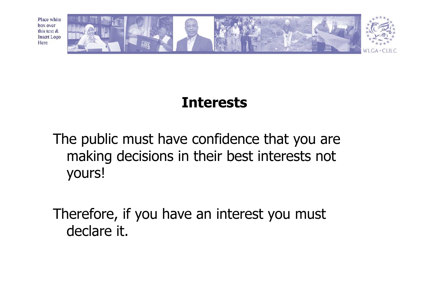

#### Interests

The public must have confidence that you are making decisions in their best interests not yours!

Therefore, if you have an interest you must declare it.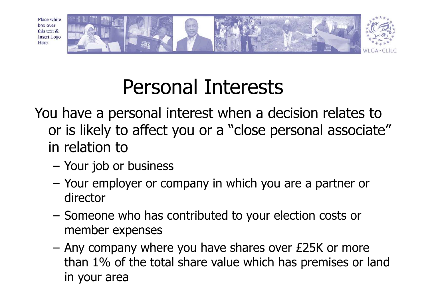

## Personal Interests

- You have a personal interest when a decision relates to or is likely to affect you or a "close personal associate" in relation to
	- Your job or business
	- – Your employer or company in which you are a partner ordirector
	- Someone who has contributed to your election costs ormember expenses
	- – Any company where you have shares over £25K or more than 1% of the total share value which has premises or land in your area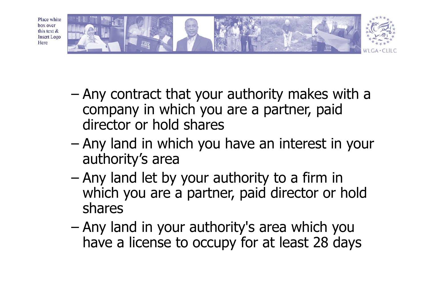

- and the state of the state Any contract that your authority makes with a company in which you are a partner, paid director or hold shares
- and the state of the state Any land in which you have an interest in your authority's area
- and the state of Any land let by your authority to a firm in which you are a partner, paid director or hold shares
- and the state of the state Any land in your authority's area which you have a license to occupy for at least 28 days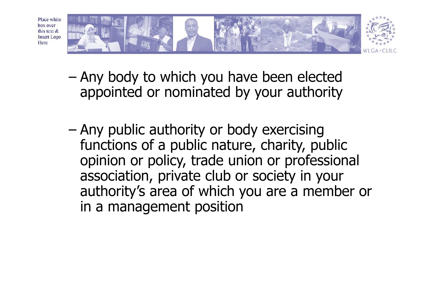

- and the state of Any body to which you have been elected appointed or nominated by your authority
- and the state of the state Any public authority or body exercising functions of a public nature, charity, public opinion or policy, trade union or professional association, private club or society in your authority's area of which you are a member or in a management position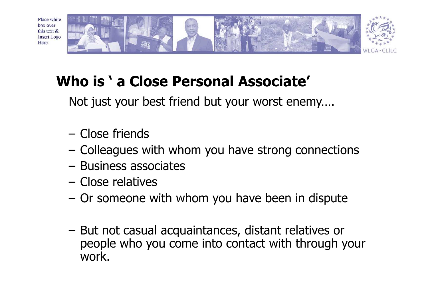

## Who is ' a Close Personal Associate'

Not just your best friend but your worst enemy….

- Close friends
- –Colleagues with whom you have strong connections
- Business associates
- Close relatives
- –Or someone with whom you have been in dispute
- – But not casual acquaintances, distant relatives or people who you come into contact with through your work.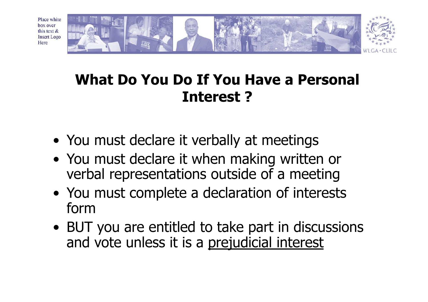

#### What Do You Do If You Have a Personal Interest ?

- You must declare it verbally at meetings
- You must declare it when making written or verbal representations outside of a meeting
- You must complete a declaration of interests form
- BUT you are entitled to take part in discussions and vote unless it is a prejudicial interest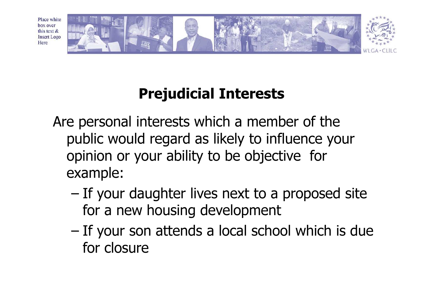

## Prejudicial Interests

- Are personal interests which a member of the public would regard as likely to influence your opinion or your ability to be objective for example:
	- and the state of If your daughter lives next to a proposed site for a new housing development
	- – If your son attends a local school which is due for closure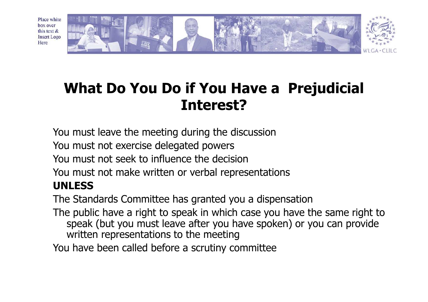

#### What Do You Do if You Have a Prejudicial Interest?

You must leave the meeting during the discussion

You must not exercise delegated powers

You must not seek to influence the decision

You must not make written or verbal representations

#### UNLESS

The Standards Committee has granted you a dispensation

 The public have a right to speak in which case you have the same right to speak (but you must leave after you have spoken) or you can provide written representations to the meeting

You have been called before a scrutiny committee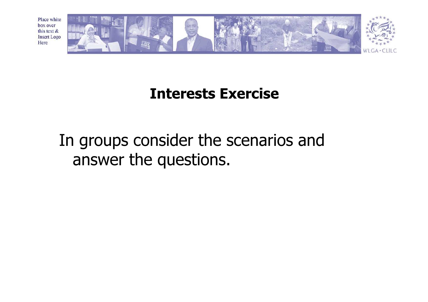

#### Interests Exercise

## In groups consider the scenarios and answer the questions.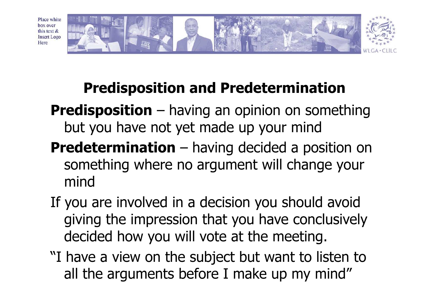

## Predisposition and Predetermination

- **Predisposition** having an opinion on something but you have not yet made up your mind
- **Predetermination** having decided a position on something where no argument will change your mind
- If you are involved in a decision you should avoid giving the impression that you have conclusively decided how you will vote at the meeting.
- "I have a view on the subject but want to listen toall the arguments before I make up my mind"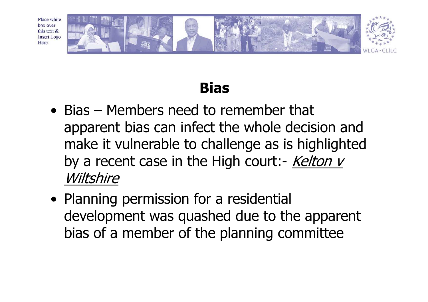

### Bias

- Bias Members need to remember that apparent bias can infect the whole decision and make it vulnerable to challenge as is highlighted by a recent case in the High court:- *Kelton v* Wiltshire
- Planning permission for a residential development was quashed due to the apparent bias of a member of the planning committee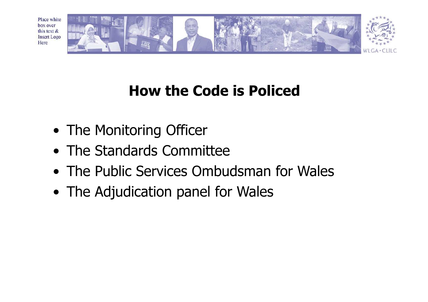

## How the Code is Policed

- The Monitoring Officer
- The Standards Committee
- The Public Services Ombudsman for Wales
- The Adjudication panel for Wales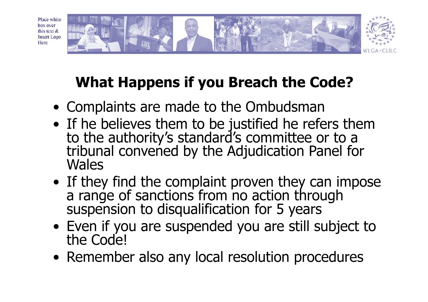

## What Happens if you Breach the Code?

- Complaints are made to the Ombudsman
- If he believes them to be justified he refers themto the authority's standard's committee or to a tribunal convened by the Adjudication Panel for Wales
- If they find the complaint proven they can impose<br>a range of sanctions from no action through<br>suspension to disqualification for 5 years
- Even if you are suspended you are still subject tothe Code!
- Remember also any local resolution procedures